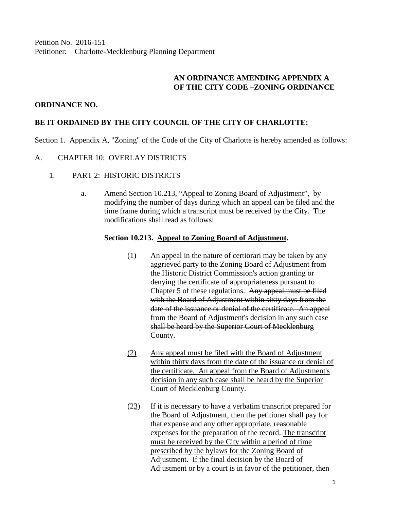Petition No. 2016-151 Petitioner: Charlotte-Mecklenburg Planning Department

# **AN ORDINANCE AMENDING APPENDIX A OF THE CITY CODE –ZONING ORDINANCE**

### **ORDINANCE NO.**

## **BE IT ORDAINED BY THE CITY COUNCIL OF THE CITY OF CHARLOTTE:**

Section 1. Appendix A, "Zoning" of the Code of the City of Charlotte is hereby amended as follows:

#### A. CHAPTER 10: OVERLAY DISTRICTS

- 1. PART 2: HISTORIC DISTRICTS
	- a. Amend Section 10.213, "Appeal to Zoning Board of Adjustment", by modifying the number of days during which an appeal can be filed and the time frame during which a transcript must be received by the City. The modifications shall read as follows:

#### **Section 10.213. Appeal to Zoning Board of Adjustment.**

- (1) An appeal in the nature of certiorari may be taken by any aggrieved party to the Zoning Board of Adjustment from the Historic District Commission's action granting or denying the certificate of appropriateness pursuant to Chapter 5 of these regulations. Any appeal must be filed with the Board of Adjustment within sixty days from the date of the issuance or denial of the certificate. An appeal from the Board of Adjustment's decision in any such case shall be heard by the Superior Court of Mecklenburg County.
- (2) Any appeal must be filed with the Board of Adjustment within thirty days from the date of the issuance or denial of the certificate. An appeal from the Board of Adjustment's decision in any such case shall be heard by the Superior Court of Mecklenburg County.
- (23) If it is necessary to have a verbatim transcript prepared for the Board of Adjustment, then the petitioner shall pay for that expense and any other appropriate, reasonable expenses for the preparation of the record. The transcript must be received by the City within a period of time prescribed by the bylaws for the Zoning Board of Adjustment. If the final decision by the Board of Adjustment or by a court is in favor of the petitioner, then